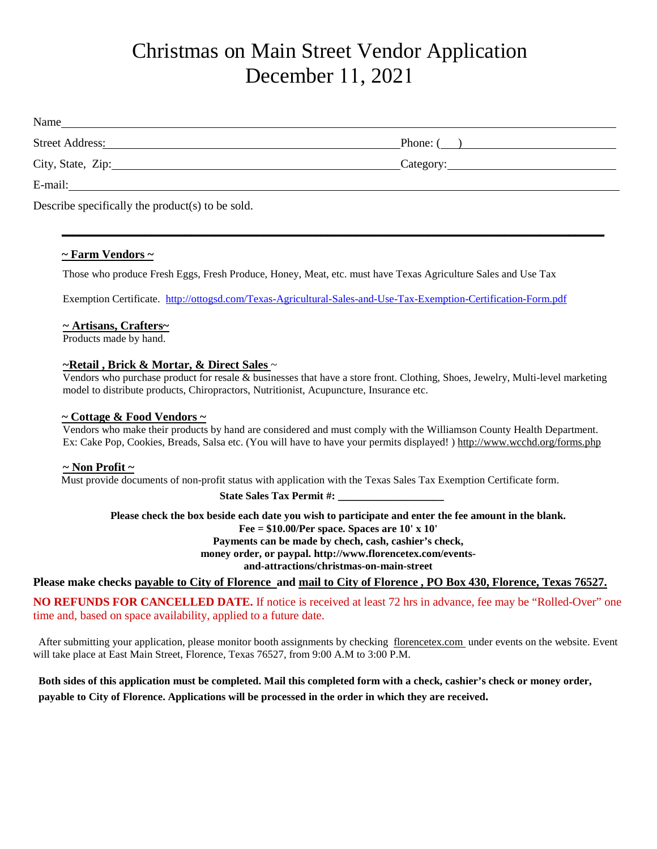## Christmas on Main Street Vendor Application December 11, 2021

| Name<br><u> 1989 - Jan Samuel Barbara, margaret e populari e populari e populari e populari e populari e populari e pop</u> |                        |
|-----------------------------------------------------------------------------------------------------------------------------|------------------------|
| Street Address:                                                                                                             | Phone: $\qquad \qquad$ |
| City, State, Zip: 2008. Experience of the State of Table 3.                                                                 |                        |
| E-mail:                                                                                                                     |                        |
| Describe specifically the product(s) to be sold.                                                                            |                        |

**\_\_\_\_\_\_\_\_\_\_\_\_\_\_\_\_\_\_\_\_\_\_\_\_\_\_\_\_\_\_\_\_\_\_\_\_\_\_\_\_\_\_\_\_\_\_\_\_\_\_\_\_\_\_\_\_\_\_\_\_\_\_\_\_\_\_\_\_\_\_\_\_\_\_\_\_\_\_\_\_\_\_\_\_\_\_\_\_\_\_\_\_**

## **~ Farm Vendors ~**

Those who produce Fresh Eggs, Fresh Produce, Honey, Meat, etc. must have Texas Agriculture Sales and Use Tax

Exemption Certificate. <http://ottogsd.com/Texas-Agricultural-Sales-and-Use-Tax-Exemption-Certification-Form.pdf>

#### **~ Artisans, Crafters~**

Products made by hand.

#### **~Retail , Brick & Mortar, & Direct Sales** ~

 Vendors who purchase product for resale & businesses that have a store front. Clothing, Shoes, Jewelry, Multi-level marketing model to distribute products, Chiropractors, Nutritionist, Acupuncture, Insurance etc.

#### **~ Cottage & Food Vendors ~**

 Vendors who make their products by hand are considered and must comply with the Williamson County Health Department. Ex: Cake Pop, Cookies, Breads, Salsa etc. (You will have to have your permits displayed! ) http://www.wcchd.org/forms.php

## **~ Non Profit ~**

Must provide documents of non-profit status with application with the Texas Sales Tax Exemption Certificate form.

State Sales Tax Permit #:

**Please check the box beside each date you wish to participate and enter the fee amount in the blank. Fee = \$10.00/Per space. Spaces are 10' x 10' Payments can be made by chech, cash, cashier's check, money order, or paypal. http://www.florencetex.com/events-**

**and-attractions/christmas-on-main-street**

**Please make checks payable to City of Florence and mail to City of Florence , PO Box 430, Florence, Texas 76527.**

**NO REFUNDS FOR CANCELLED DATE.** If notice is received at least 72 hrs in advance, fee may be "Rolled-Over" one time and, based on space availability, applied to a future date.

 After submitting your application, please monitor booth assignments by checking florencetex.com under events on the website. Event will take place at East Main Street, Florence, Texas 76527, from 9:00 A.M to 3:00 P.M.

## **Both sides of this application must be completed. Mail this completed form with a check, cashier's check or money order, payable to City of Florence. Applications will be processed in the order in which they are received.**